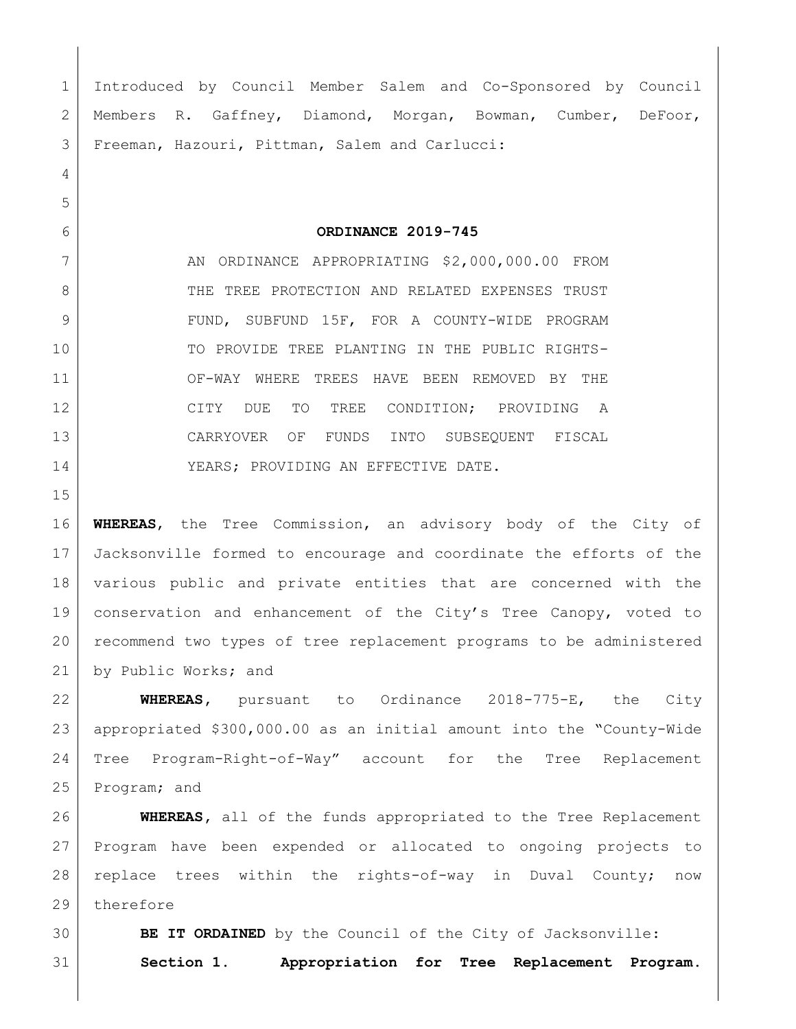Introduced by Council Member Salem and Co-Sponsored by Council Members R. Gaffney, Diamond, Morgan, Bowman, Cumber, DeFoor, Freeman, Hazouri, Pittman, Salem and Carlucci: **ORDINANCE 2019-745** 7 | AN ORDINANCE APPROPRIATING \$2,000,000.00 FROM 8 THE TREE PROTECTION AND RELATED EXPENSES TRUST 9 FUND, SUBFUND 15F, FOR A COUNTY-WIDE PROGRAM TO PROVIDE TREE PLANTING IN THE PUBLIC RIGHTS- OF-WAY WHERE TREES HAVE BEEN REMOVED BY THE 12 CITY DUE TO TREE CONDITION; PROVIDING A CARRYOVER OF FUNDS INTO SUBSEQUENT FISCAL YEARS; PROVIDING AN EFFECTIVE DATE. **WHEREAS**, the Tree Commission, an advisory body of the City of Jacksonville formed to encourage and coordinate the efforts of the various public and private entities that are concerned with the conservation and enhancement of the City's Tree Canopy, voted to recommend two types of tree replacement programs to be administered 21 by Public Works; and **WHEREAS,** pursuant to Ordinance 2018-775-E, the City appropriated \$300,000.00 as an initial amount into the "County-Wide Tree Program-Right-of-Way" account for the Tree Replacement Program; and **WHEREAS,** all of the funds appropriated to the Tree Replacement Program have been expended or allocated to ongoing projects to replace trees within the rights-of-way in Duval County; now

29 therefore

**BE IT ORDAINED** by the Council of the City of Jacksonville:

**Section 1. Appropriation for Tree Replacement Program.**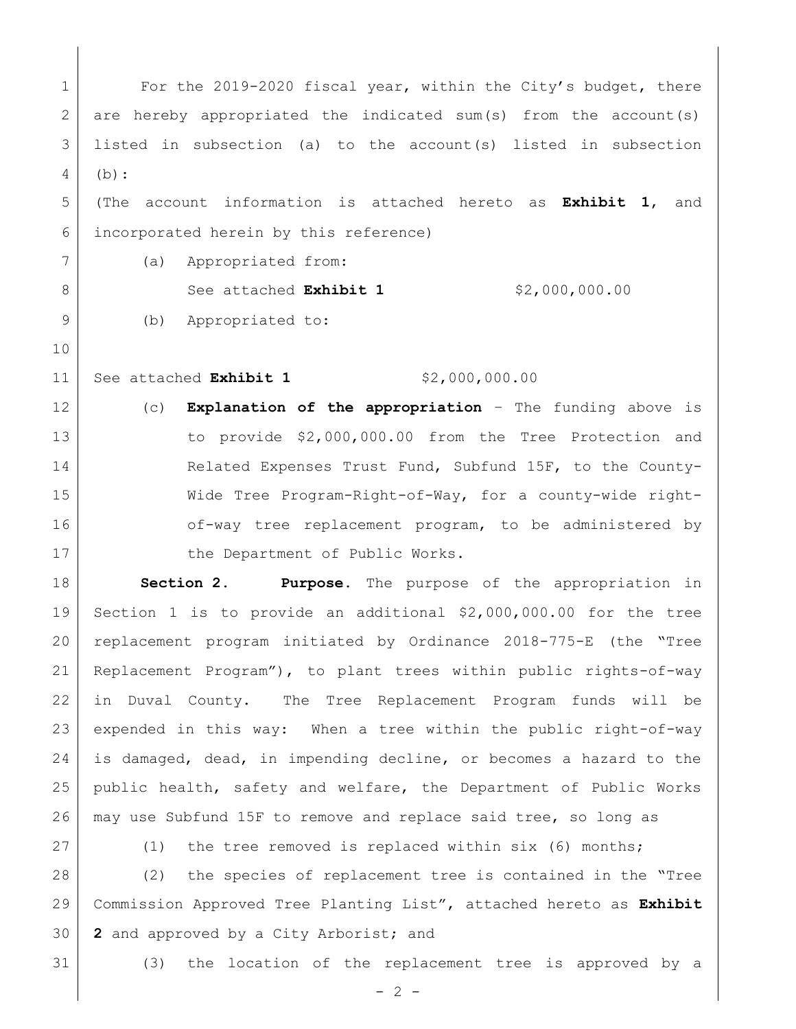1 For the 2019-2020 fiscal year, within the City's budget, there 2 are hereby appropriated the indicated sum(s) from the account(s) listed in subsection (a) to the account(s) listed in subsection (b): (The account information is attached hereto as **Exhibit 1**, and incorporated herein by this reference) (a) Appropriated from: 8 See attached **Exhibit 1** \$2,000,000.00 9 (b) Appropriated to: 11 See attached **Exhibit 1** \$2,000,000.00 (c) **Explanation of the appropriation** – The funding above is to provide \$2,000,000.00 from the Tree Protection and 14 Related Expenses Trust Fund, Subfund 15F, to the County- Wide Tree Program-Right-of-Way, for a county-wide right-16 of-way tree replacement program, to be administered by 17 the Department of Public Works. **Section 2. Purpose.** The purpose of the appropriation in Section 1 is to provide an additional \$2,000,000.00 for the tree replacement program initiated by Ordinance 2018-775-E (the "Tree Replacement Program"), to plant trees within public rights-of-way in Duval County. The Tree Replacement Program funds will be

 expended in this way: When a tree within the public right-of-way is damaged, dead, in impending decline, or becomes a hazard to the public health, safety and welfare, the Department of Public Works may use Subfund 15F to remove and replace said tree, so long as

27 (1) the tree removed is replaced within six (6) months;

 (2) the species of replacement tree is contained in the "Tree Commission Approved Tree Planting List", attached hereto as **Exhibit 2** and approved by a City Arborist; and

(3) the location of the replacement tree is approved by a